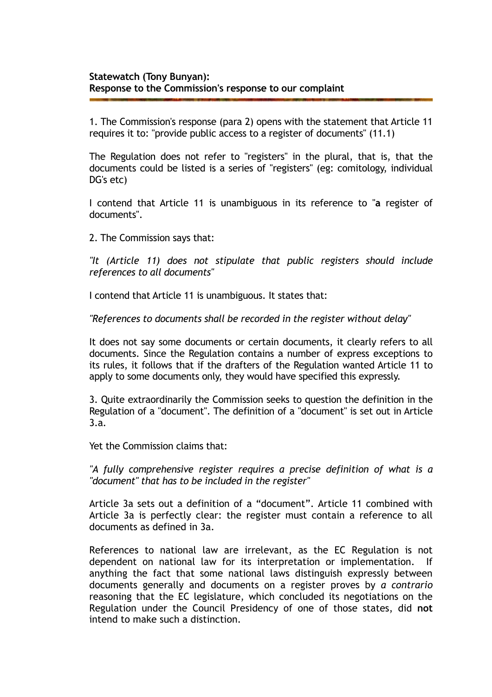1. The Commission's response (para 2) opens with the statement that Article 11 requires it to: "provide public access to a register of documents" (11.1)

The Regulation does not refer to "registers" in the plural, that is, that the documents could be listed is a series of "registers" (eg: comitology, individual DG's etc)

I contend that Article 11 is unambiguous in its reference to "**a** register of documents".

2. The Commission says that:

*"It (Article 11) does not stipulate that public registers should include references to all documents"* 

I contend that Article 11 is unambiguous. It states that:

*"References to documents shall be recorded in the register without delay"* 

It does not say some documents or certain documents, it clearly refers to all documents. Since the Regulation contains a number of express exceptions to its rules, it follows that if the drafters of the Regulation wanted Article 11 to apply to some documents only, they would have specified this expressly.

3. Quite extraordinarily the Commission seeks to question the definition in the Regulation of a "document". The definition of a "document" is set out in Article 3.a.

Yet the Commission claims that:

*"A fully comprehensive register requires a precise definition of what is a "document" that has to be included in the register"* 

Article 3a sets out a definition of a "document". Article 11 combined with Article 3a is perfectly clear: the register must contain a reference to all documents as defined in 3a.

References to national law are irrelevant, as the EC Regulation is not dependent on national law for its interpretation or implementation. If anything the fact that some national laws distinguish expressly between documents generally and documents on a register proves by *a contrario*  reasoning that the EC legislature, which concluded its negotiations on the Regulation under the Council Presidency of one of those states, did **not**  intend to make such a distinction.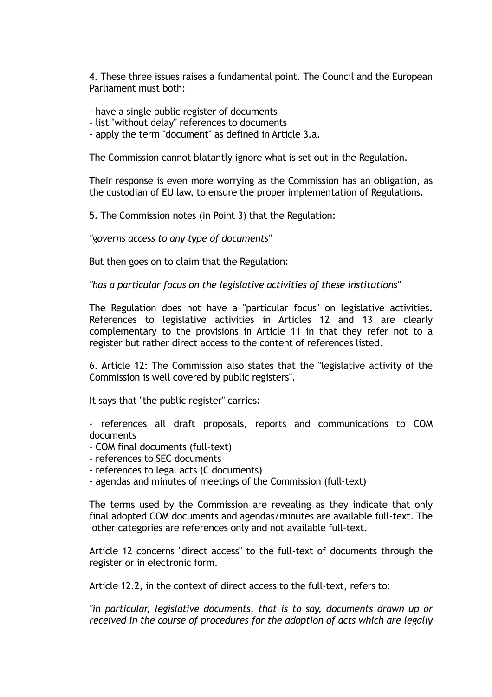4. These three issues raises a fundamental point. The Council and the European Parliament must both:

- have a single public register of documents
- list "without delay" references to documents
- apply the term "document" as defined in Article 3.a.

The Commission cannot blatantly ignore what is set out in the Regulation.

Their response is even more worrying as the Commission has an obligation, as the custodian of EU law, to ensure the proper implementation of Regulations.

5. The Commission notes (in Point 3) that the Regulation:

*"governs access to any type of documents"* 

But then goes on to claim that the Regulation:

*"has a particular focus on the legislative activities of these institutions"* 

The Regulation does not have a "particular focus" on legislative activities. References to legislative activities in Articles 12 and 13 are clearly complementary to the provisions in Article 11 in that they refer not to a register but rather direct access to the content of references listed.

6. Article 12: The Commission also states that the "legislative activity of the Commission is well covered by public registers".

It says that "the public register" carries:

- references all draft proposals, reports and communications to COM documents

- COM final documents (full-text)
- references to SEC documents
- references to legal acts (C documents)
- agendas and minutes of meetings of the Commission (full-text)

The terms used by the Commission are revealing as they indicate that only final adopted COM documents and agendas/minutes are available full-text. The other categories are references only and not available full-text.

Article 12 concerns "direct access" to the full-text of documents through the register or in electronic form.

Article 12.2, in the context of direct access to the full-text, refers to:

*"in particular, legislative documents, that is to say, documents drawn up or received in the course of procedures for the adoption of acts which are legally*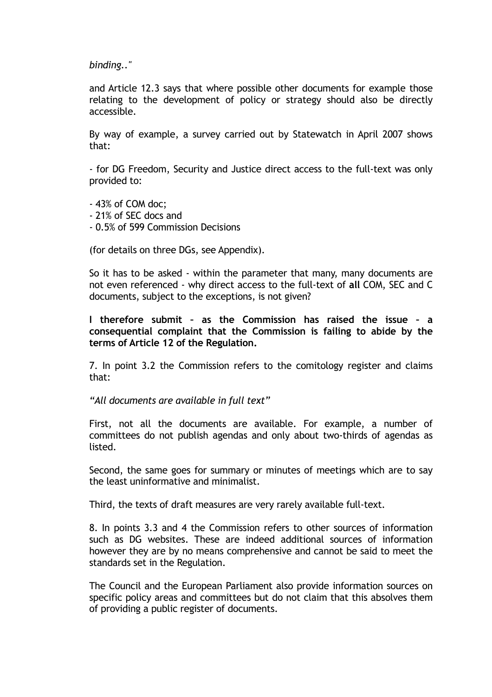*binding.."* 

and Article 12.3 says that where possible other documents for example those relating to the development of policy or strategy should also be directly accessible.

By way of example, a survey carried out by Statewatch in April 2007 shows that:

- for DG Freedom, Security and Justice direct access to the full-text was only provided to:

- 43% of COM doc;
- 21% of SEC docs and
- 0.5% of 599 Commission Decisions

(for details on three DGs, see Appendix).

So it has to be asked - within the parameter that many, many documents are not even referenced - why direct access to the full-text of **all** COM, SEC and C documents, subject to the exceptions, is not given?

**I therefore submit – as the Commission has raised the issue – a consequential complaint that the Commission is failing to abide by the terms of Article 12 of the Regulation.** 

7. In point 3.2 the Commission refers to the comitology register and claims that:

*"All documents are available in full text"* 

First, not all the documents are available. For example, a number of committees do not publish agendas and only about two-thirds of agendas as listed.

Second, the same goes for summary or minutes of meetings which are to say the least uninformative and minimalist.

Third, the texts of draft measures are very rarely available full-text.

8. In points 3.3 and 4 the Commission refers to other sources of information such as DG websites. These are indeed additional sources of information however they are by no means comprehensive and cannot be said to meet the standards set in the Regulation.

The Council and the European Parliament also provide information sources on specific policy areas and committees but do not claim that this absolves them of providing a public register of documents.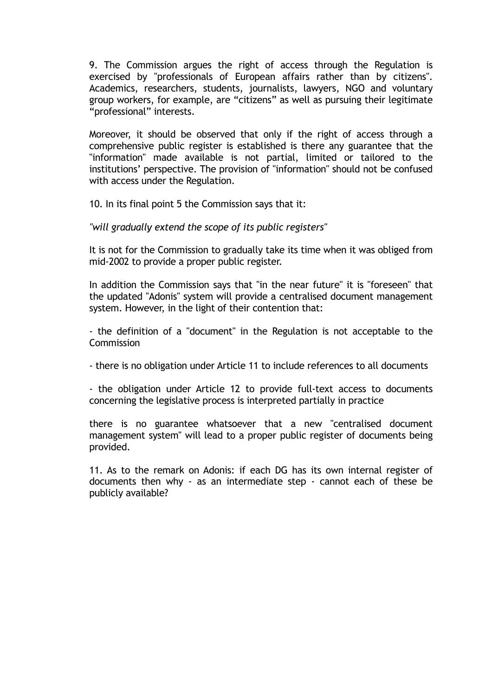9. The Commission argues the right of access through the Regulation is exercised by "professionals of European affairs rather than by citizens". Academics, researchers, students, journalists, lawyers, NGO and voluntary group workers, for example, are "citizens" as well as pursuing their legitimate "professional" interests.

Moreover, it should be observed that only if the right of access through a comprehensive public register is established is there any guarantee that the "information" made available is not partial, limited or tailored to the institutions' perspective. The provision of "information" should not be confused with access under the Regulation.

10. In its final point 5 the Commission says that it:

*"will gradually extend the scope of its public registers"* 

It is not for the Commission to gradually take its time when it was obliged from mid-2002 to provide a proper public register.

In addition the Commission says that "in the near future" it is "foreseen" that the updated "Adonis" system will provide a centralised document management system. However, in the light of their contention that:

- the definition of a "document" in the Regulation is not acceptable to the **Commission** 

- there is no obligation under Article 11 to include references to all documents

- the obligation under Article 12 to provide full-text access to documents concerning the legislative process is interpreted partially in practice

there is no guarantee whatsoever that a new "centralised document management system" will lead to a proper public register of documents being provided.

11. As to the remark on Adonis: if each DG has its own internal register of documents then why - as an intermediate step - cannot each of these be publicly available?